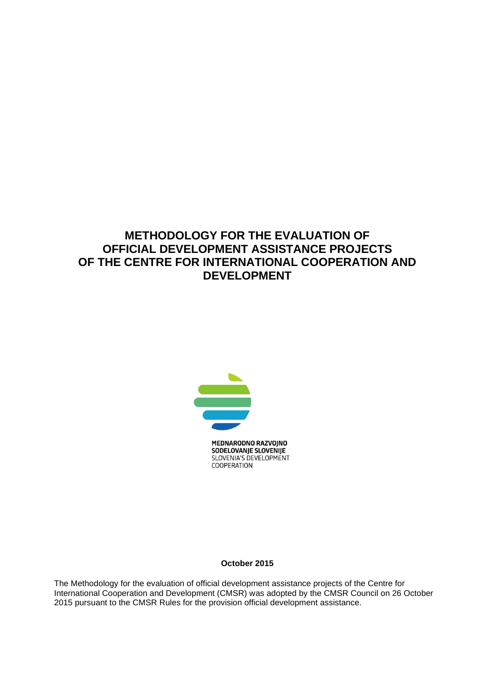# **METHODOLOGY FOR THE EVALUATION OF OFFICIAL DEVELOPMENT ASSISTANCE PROJECTS OF THE CENTRE FOR INTERNATIONAL COOPERATION AND DEVELOPMENT**



MEDNARODNO RAZVOJNO SODELOVANJE SLOVENIJE SLOVENIA'S DEVELOPMENT COOPERATION

**October 2015**

The Methodology for the evaluation of official development assistance projects of the Centre for International Cooperation and Development (CMSR) was adopted by the CMSR Council on 26 October 2015 pursuant to the CMSR Rules for the provision official development assistance.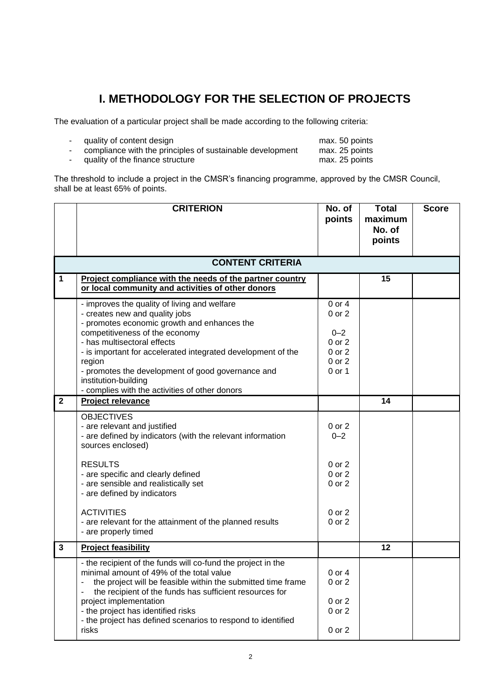# **I. METHODOLOGY FOR THE SELECTION OF PROJECTS**

The evaluation of a particular project shall be made according to the following criteria:

| quality of content design                                 | max. 50 points |  |
|-----------------------------------------------------------|----------------|--|
| compliance with the principles of sustainable development | max. 25 points |  |

- quality of the finance structure max. 25 points

The threshold to include a project in the CMSR's financing programme, approved by the CMSR Council, shall be at least 65% of points.

|              | <b>CRITERION</b>                                                                                                                                                                                                                                                                                                                                                                                         | No. of<br>points                                                                | <b>Total</b><br>maximum<br>No. of<br>points | <b>Score</b> |  |  |  |  |
|--------------|----------------------------------------------------------------------------------------------------------------------------------------------------------------------------------------------------------------------------------------------------------------------------------------------------------------------------------------------------------------------------------------------------------|---------------------------------------------------------------------------------|---------------------------------------------|--------------|--|--|--|--|
|              | <b>CONTENT CRITERIA</b>                                                                                                                                                                                                                                                                                                                                                                                  |                                                                                 |                                             |              |  |  |  |  |
| $\mathbf{1}$ | Project compliance with the needs of the partner country<br>or local community and activities of other donors                                                                                                                                                                                                                                                                                            |                                                                                 | 15                                          |              |  |  |  |  |
|              | - improves the quality of living and welfare<br>- creates new and quality jobs<br>- promotes economic growth and enhances the<br>competitiveness of the economy<br>- has multisectoral effects<br>- is important for accelerated integrated development of the<br>region<br>- promotes the development of good governance and<br>institution-building                                                    | $0$ or $4$<br>0 or 2<br>$0 - 2$<br>$0$ or $2$<br>0 or 2<br>$0$ or $2$<br>0 or 1 |                                             |              |  |  |  |  |
| $\mathbf{2}$ | - complies with the activities of other donors<br>Project relevance                                                                                                                                                                                                                                                                                                                                      |                                                                                 | 14                                          |              |  |  |  |  |
|              | <b>OBJECTIVES</b><br>- are relevant and justified<br>- are defined by indicators (with the relevant information<br>sources enclosed)                                                                                                                                                                                                                                                                     | 0 or 2<br>$0 - 2$                                                               |                                             |              |  |  |  |  |
|              | <b>RESULTS</b><br>- are specific and clearly defined<br>- are sensible and realistically set<br>- are defined by indicators                                                                                                                                                                                                                                                                              | $0$ or $2$<br>0 or 2<br>$0$ or $2$                                              |                                             |              |  |  |  |  |
|              | <b>ACTIVITIES</b><br>- are relevant for the attainment of the planned results<br>- are properly timed                                                                                                                                                                                                                                                                                                    | $0$ or $2$<br>0 or 2                                                            |                                             |              |  |  |  |  |
| $\mathbf{3}$ | <b>Project feasibility</b>                                                                                                                                                                                                                                                                                                                                                                               |                                                                                 | 12                                          |              |  |  |  |  |
|              | - the recipient of the funds will co-fund the project in the<br>minimal amount of 49% of the total value<br>the project will be feasible within the submitted time frame<br>$\overline{\phantom{a}}$<br>the recipient of the funds has sufficient resources for<br>project implementation<br>- the project has identified risks<br>- the project has defined scenarios to respond to identified<br>risks | 0 or 4<br>0 or 2<br>0 or 2<br>0 or 2<br>0 or 2                                  |                                             |              |  |  |  |  |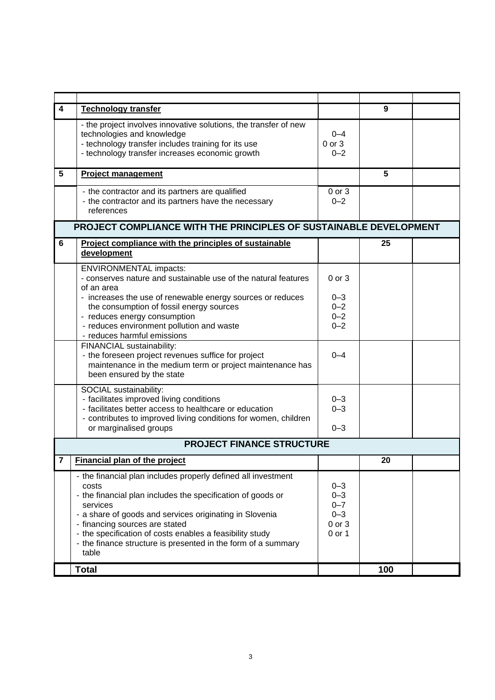| 4                                | <b>Technology transfer</b>                                                                                                                                                                                                                                                                                                                                                           |                                                              | 9   |  |  |
|----------------------------------|--------------------------------------------------------------------------------------------------------------------------------------------------------------------------------------------------------------------------------------------------------------------------------------------------------------------------------------------------------------------------------------|--------------------------------------------------------------|-----|--|--|
|                                  | - the project involves innovative solutions, the transfer of new<br>technologies and knowledge<br>- technology transfer includes training for its use<br>- technology transfer increases economic growth                                                                                                                                                                             | $0 - 4$<br>$0$ or $3$<br>$0 - 2$                             |     |  |  |
| 5                                | <b>Project management</b>                                                                                                                                                                                                                                                                                                                                                            |                                                              | 5   |  |  |
|                                  | - the contractor and its partners are qualified<br>- the contractor and its partners have the necessary<br>references                                                                                                                                                                                                                                                                | 0 or 3<br>$0 - 2$                                            |     |  |  |
|                                  | PROJECT COMPLIANCE WITH THE PRINCIPLES OF SUSTAINABLE DEVELOPMENT                                                                                                                                                                                                                                                                                                                    |                                                              |     |  |  |
| 6                                | Project compliance with the principles of sustainable<br>development                                                                                                                                                                                                                                                                                                                 |                                                              | 25  |  |  |
|                                  | <b>ENVIRONMENTAL impacts:</b><br>- conserves nature and sustainable use of the natural features<br>of an area                                                                                                                                                                                                                                                                        | $0$ or $3$                                                   |     |  |  |
|                                  | - increases the use of renewable energy sources or reduces<br>the consumption of fossil energy sources                                                                                                                                                                                                                                                                               | $0 - 3$<br>$0 - 2$                                           |     |  |  |
|                                  | - reduces energy consumption<br>- reduces environment pollution and waste<br>- reduces harmful emissions                                                                                                                                                                                                                                                                             | $0 - 2$<br>$0 - 2$                                           |     |  |  |
|                                  | FINANCIAL sustainability:<br>- the foreseen project revenues suffice for project<br>maintenance in the medium term or project maintenance has<br>been ensured by the state                                                                                                                                                                                                           | $0 - 4$                                                      |     |  |  |
|                                  | SOCIAL sustainability:<br>- facilitates improved living conditions<br>- facilitates better access to healthcare or education                                                                                                                                                                                                                                                         | $0 - 3$<br>$0 - 3$                                           |     |  |  |
|                                  | - contributes to improved living conditions for women, children<br>or marginalised groups                                                                                                                                                                                                                                                                                            | $0 - 3$                                                      |     |  |  |
| <b>PROJECT FINANCE STRUCTURE</b> |                                                                                                                                                                                                                                                                                                                                                                                      |                                                              |     |  |  |
| 7                                | Financial plan of the project                                                                                                                                                                                                                                                                                                                                                        |                                                              | 20  |  |  |
|                                  | - the financial plan includes properly defined all investment<br>costs<br>- the financial plan includes the specification of goods or<br>services<br>- a share of goods and services originating in Slovenia<br>- financing sources are stated<br>- the specification of costs enables a feasibility study<br>- the finance structure is presented in the form of a summary<br>table | $0 - 3$<br>$0 - 3$<br>$0 - 7$<br>$0 - 3$<br>0 or 3<br>0 or 1 |     |  |  |
|                                  | <b>Total</b>                                                                                                                                                                                                                                                                                                                                                                         |                                                              | 100 |  |  |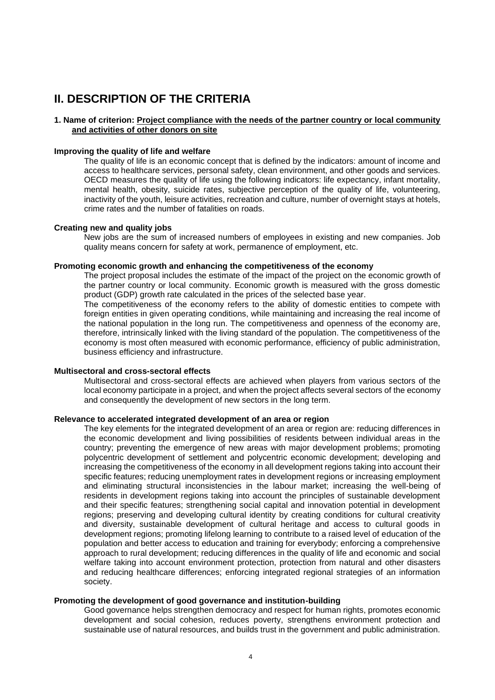# **II. DESCRIPTION OF THE CRITERIA**

# **1. Name of criterion: Project compliance with the needs of the partner country or local community and activities of other donors on site**

#### **Improving the quality of life and welfare**

The quality of life is an economic concept that is defined by the indicators: amount of income and access to healthcare services, personal safety, clean environment, and other goods and services. OECD measures the quality of life using the following indicators: life expectancy, infant mortality, mental health, obesity, suicide rates, subjective perception of the quality of life, volunteering, inactivity of the youth, leisure activities, recreation and culture, number of overnight stays at hotels, crime rates and the number of fatalities on roads.

#### **Creating new and quality jobs**

New jobs are the sum of increased numbers of employees in existing and new companies. Job quality means concern for safety at work, permanence of employment, etc.

#### **Promoting economic growth and enhancing the competitiveness of the economy**

The project proposal includes the estimate of the impact of the project on the economic growth of the partner country or local community. Economic growth is measured with the gross domestic product (GDP) growth rate calculated in the prices of the selected base year.

The competitiveness of the economy refers to the ability of domestic entities to compete with foreign entities in given operating conditions, while maintaining and increasing the real income of the national population in the long run. The competitiveness and openness of the economy are, therefore, intrinsically linked with the living standard of the population. The competitiveness of the economy is most often measured with economic performance, efficiency of public administration, business efficiency and infrastructure.

#### **Multisectoral and cross-sectoral effects**

Multisectoral and cross-sectoral effects are achieved when players from various sectors of the local economy participate in a project, and when the project affects several sectors of the economy and consequently the development of new sectors in the long term.

#### **Relevance to accelerated integrated development of an area or region**

The key elements for the integrated development of an area or region are: reducing differences in the economic development and living possibilities of residents between individual areas in the country; preventing the emergence of new areas with major development problems; promoting polycentric development of settlement and polycentric economic development; developing and increasing the competitiveness of the economy in all development regions taking into account their specific features; reducing unemployment rates in development regions or increasing employment and eliminating structural inconsistencies in the labour market; increasing the well-being of residents in development regions taking into account the principles of sustainable development and their specific features; strengthening social capital and innovation potential in development regions; preserving and developing cultural identity by creating conditions for cultural creativity and diversity, sustainable development of cultural heritage and access to cultural goods in development regions; promoting lifelong learning to contribute to a raised level of education of the population and better access to education and training for everybody; enforcing a comprehensive approach to rural development; reducing differences in the quality of life and economic and social welfare taking into account environment protection, protection from natural and other disasters and reducing healthcare differences; enforcing integrated regional strategies of an information society.

## **Promoting the development of good governance and institution-building**

Good governance helps strengthen democracy and respect for human rights, promotes economic development and social cohesion, reduces poverty, strengthens environment protection and sustainable use of natural resources, and builds trust in the government and public administration.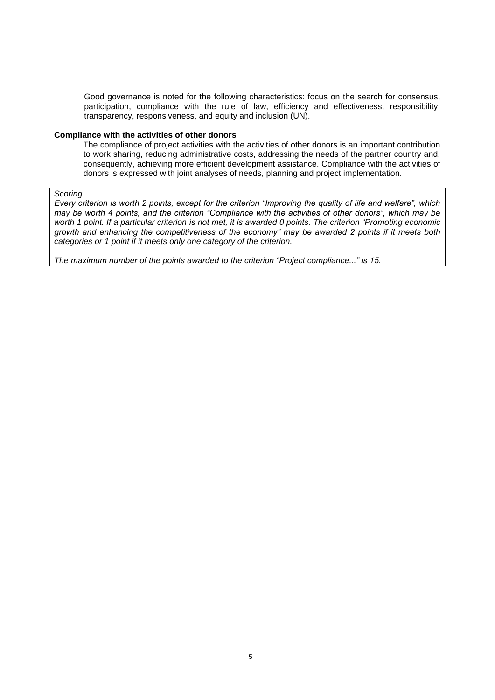Good governance is noted for the following characteristics: focus on the search for consensus, participation, compliance with the rule of law, efficiency and effectiveness, responsibility, transparency, responsiveness, and equity and inclusion (UN).

#### **Compliance with the activities of other donors**

The compliance of project activities with the activities of other donors is an important contribution to work sharing, reducing administrative costs, addressing the needs of the partner country and, consequently, achieving more efficient development assistance. Compliance with the activities of donors is expressed with joint analyses of needs, planning and project implementation.

#### *Scoring*

*Every criterion is worth 2 points, except for the criterion "Improving the quality of life and welfare", which may be worth 4 points, and the criterion "Compliance with the activities of other donors", which may be*  worth 1 point. If a particular criterion is not met, it is awarded 0 points. The criterion "Promoting economic *growth and enhancing the competitiveness of the economy" may be awarded 2 points if it meets both categories or 1 point if it meets only one category of the criterion.* 

*The maximum number of the points awarded to the criterion "Project compliance..." is 15.*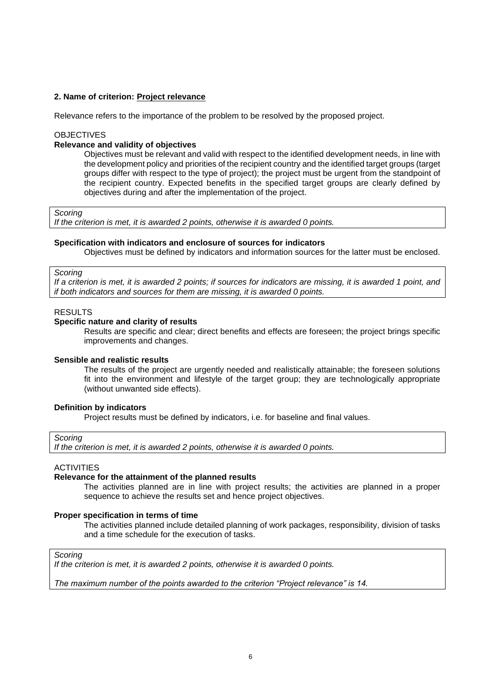# **2. Name of criterion: Project relevance**

Relevance refers to the importance of the problem to be resolved by the proposed project.

#### **OBJECTIVES**

### **Relevance and validity of objectives**

Objectives must be relevant and valid with respect to the identified development needs, in line with the development policy and priorities of the recipient country and the identified target groups (target groups differ with respect to the type of project); the project must be urgent from the standpoint of the recipient country. Expected benefits in the specified target groups are clearly defined by objectives during and after the implementation of the project.

*Scoring*

*If the criterion is met, it is awarded 2 points, otherwise it is awarded 0 points.*

#### **Specification with indicators and enclosure of sources for indicators**

Objectives must be defined by indicators and information sources for the latter must be enclosed.

### *Scoring*

*If a criterion is met, it is awarded 2 points; if sources for indicators are missing, it is awarded 1 point, and if both indicators and sources for them are missing, it is awarded 0 points.*

#### RESULTS

#### **Specific nature and clarity of results**

Results are specific and clear; direct benefits and effects are foreseen; the project brings specific improvements and changes.

## **Sensible and realistic results**

The results of the project are urgently needed and realistically attainable; the foreseen solutions fit into the environment and lifestyle of the target group; they are technologically appropriate (without unwanted side effects).

#### **Definition by indicators**

Project results must be defined by indicators, i.e. for baseline and final values.

## *Scoring*

*If the criterion is met, it is awarded 2 points, otherwise it is awarded 0 points.*

# **ACTIVITIES**

# **Relevance for the attainment of the planned results**

The activities planned are in line with project results; the activities are planned in a proper sequence to achieve the results set and hence project objectives.

#### **Proper specification in terms of time**

The activities planned include detailed planning of work packages, responsibility, division of tasks and a time schedule for the execution of tasks.

*Scoring*

*If the criterion is met, it is awarded 2 points, otherwise it is awarded 0 points.*

*The maximum number of the points awarded to the criterion "Project relevance" is 14.*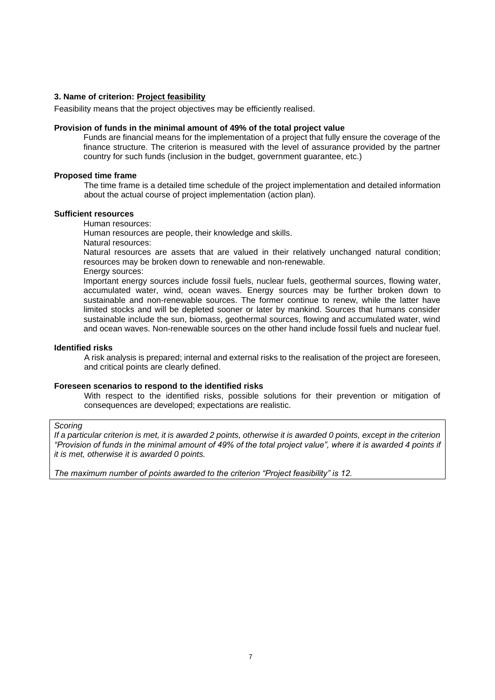# **3. Name of criterion: Project feasibility**

Feasibility means that the project objectives may be efficiently realised.

#### **Provision of funds in the minimal amount of 49% of the total project value**

Funds are financial means for the implementation of a project that fully ensure the coverage of the finance structure. The criterion is measured with the level of assurance provided by the partner country for such funds (inclusion in the budget, government guarantee, etc.)

# **Proposed time frame**

The time frame is a detailed time schedule of the project implementation and detailed information about the actual course of project implementation (action plan).

# **Sufficient resources**

Human resources:

Human resources are people, their knowledge and skills.

Natural resources:

Natural resources are [assets](http://sl.wikipedia.org/wiki/Dobrina) that are valued in their relatively unchanged [natural](http://sl.wikipedia.org/wiki/Narava) condition; resources may be broken down to [renewable](http://sl.wikipedia.org/w/index.php?title=Obnovljivi_vir&action=edit&redlink=1) and [non-renewable.](http://sl.wikipedia.org/w/index.php?title=Neobnovljivi_vir&action=edit&redlink=1)

Energy sources:

Important energy sources include [fossil fuels,](http://sl.wikipedia.org/wiki/Fosilna_goriva) [nuclear fuels,](http://sl.wikipedia.org/w/index.php?title=Jedrsko_gorivo&action=edit&redlink=1) [geothermal sources,](http://sl.wikipedia.org/w/index.php?title=Geotermalni_vir&action=edit&redlink=1) flowing [water,](http://sl.wikipedia.org/wiki/Voda) accumulated water, [wind,](http://sl.wikipedia.org/wiki/Veter) ocean waves. Energy sources may be further broken down to [sustainable](http://sl.wikipedia.org/wiki/Obnovljivi_viri_energije) and [non-renewable sources.](http://sl.wikipedia.org/wiki/Neobnovljivi_viri_energije) The former continue to renew, while the latter have limited stocks and will be depleted sooner or later by mankind. Sources that humans consider sustainable include the sun, biomass, geothermal sources, flowing and accumulated water, wind and ocean waves. [Non-renewable sources](http://sl.wikipedia.org/wiki/Neobnovljivi_viri_energije) on the other hand include [fossil fuels](http://sl.wikipedia.org/wiki/Fosilna_goriva) an[d nuclear fuel.](http://sl.wikipedia.org/w/index.php?title=Jedrsko_gorivo&action=edit&redlink=1)

#### **Identified risks**

A risk analysis is prepared; internal and external risks to the realisation of the project are foreseen, and critical points are clearly defined.

### **Foreseen scenarios to respond to the identified risks**

With respect to the identified risks, possible solutions for their prevention or mitigation of consequences are developed; expectations are realistic.

# *Scoring*

*If a particular criterion is met, it is awarded 2 points, otherwise it is awarded 0 points, except in the criterion "Provision of funds in the minimal amount of 49% of the total project value", where it is awarded 4 points if it is met, otherwise it is awarded 0 points.*

*The maximum number of points awarded to the criterion "Project feasibility" is 12.*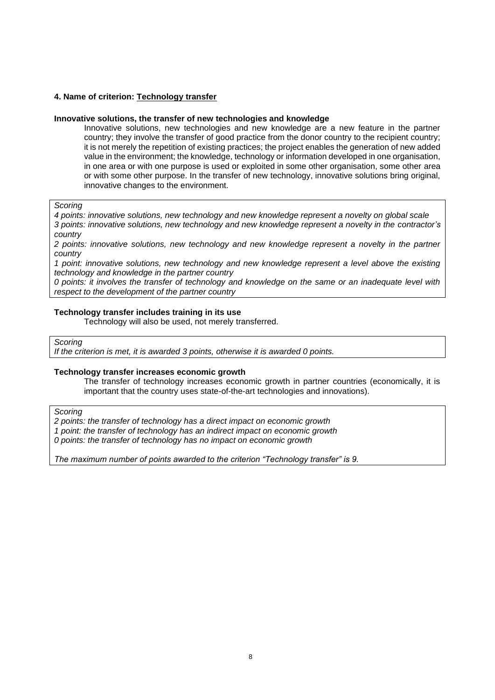# **4. Name of criterion: Technology transfer**

### **Innovative solutions, the transfer of new technologies and knowledge**

Innovative solutions, new technologies and new knowledge are a new feature in the partner country; they involve the transfer of good practice from the donor country to the recipient country; it is not merely the repetition of existing practices; the project enables the generation of new added value in the environment; the knowledge, technology or information developed in one organisation, in one area or with one purpose is used or exploited in some other organisation, some other area or with some other purpose. In the transfer of new technology, innovative solutions bring original, innovative changes to the environment.

*Scoring*

*4 points: innovative solutions, new technology and new knowledge represent a novelty on global scale 3 points: innovative solutions, new technology and new knowledge represent a novelty in the contractor's country*

*2 points: innovative solutions, new technology and new knowledge represent a novelty in the partner country* 

*1 point: innovative solutions, new technology and new knowledge represent a level above the existing technology and knowledge in the partner country* 

*0 points: it involves the transfer of technology and knowledge on the same or an inadequate level with respect to the development of the partner country* 

### **Technology transfer includes training in its use**

Technology will also be used, not merely transferred.

*Scoring*

*If the criterion is met, it is awarded 3 points, otherwise it is awarded 0 points.*

### **Technology transfer increases economic growth**

The transfer of technology increases economic growth in partner countries (economically, it is important that the country uses state-of-the-art technologies and innovations).

*Scoring*

*2 points: the transfer of technology has a direct impact on economic growth*

*1 point: the transfer of technology has an indirect impact on economic growth*

*0 points: the transfer of technology has no impact on economic growth*

*The maximum number of points awarded to the criterion "Technology transfer" is 9.*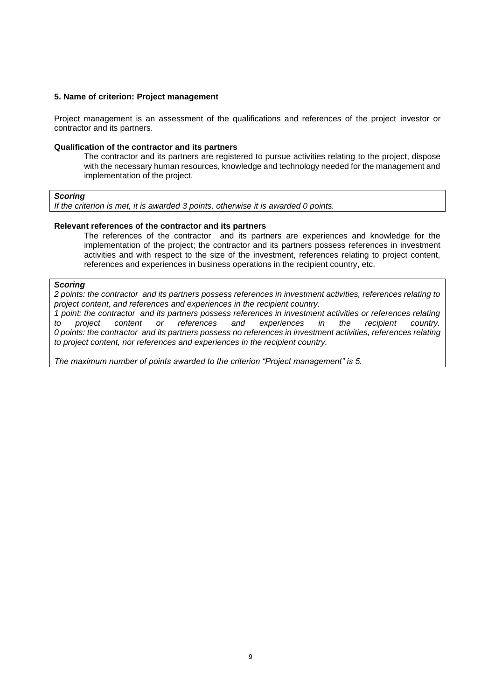## **5. Name of criterion: Project management**

Project management is an assessment of the qualifications and references of the project investor or contractor and its partners.

#### **Qualification of the contractor and its partners**

The contractor and its partners are registered to pursue activities relating to the project, dispose with the necessary human resources, knowledge and technology needed for the management and implementation of the project.

#### *Scoring*

*If the criterion is met, it is awarded 3 points, otherwise it is awarded 0 points.*

### **Relevant references of the contractor and its partners**

The references of the contractor and its partners are experiences and knowledge for the implementation of the project; the contractor and its partners possess references in investment activities and with respect to the size of the investment, references relating to project content, references and experiences in business operations in the recipient country, etc.

#### *Scoring*

*2 points: the contractor and its partners possess references in investment activities, references relating to project content, and references and experiences in the recipient country.*

*1 point: the contractor and its partners possess references in investment activities or references relating to project content or references and experiences 0 points: the contractor and its partners possess no references in investment activities, references relating to project content, nor references and experiences in the recipient country.*

*The maximum number of points awarded to the criterion "Project management" is 5.*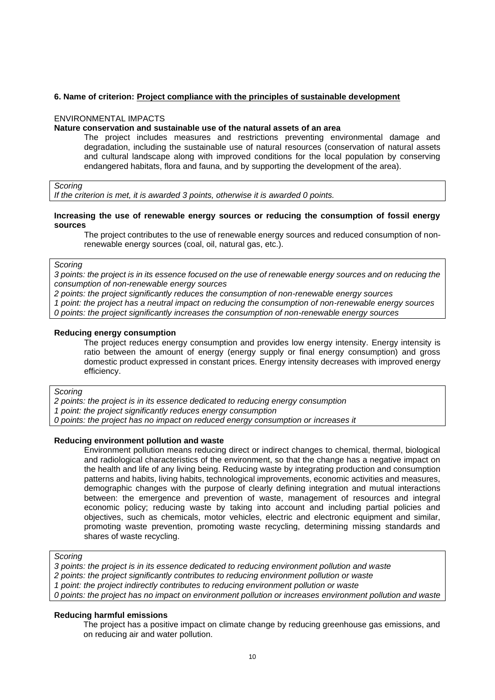# **6. Name of criterion: Project compliance with the principles of sustainable development**

#### ENVIRONMENTAL IMPACTS

### **Nature conservation and sustainable use of the natural assets of an area**

The project includes measures and restrictions preventing environmental damage and degradation, including the sustainable use of natural resources (conservation of natural assets and cultural landscape along with improved conditions for the local population by conserving endangered habitats, flora and fauna, and by supporting the development of the area).

*Scoring*

*If the criterion is met, it is awarded 3 points, otherwise it is awarded 0 points.*

#### **Increasing the use of renewable energy sources or reducing the consumption of fossil energy sources**

The project contributes to the use of renewable energy sources and reduced consumption of nonrenewable energy sources (coal, oil, natural gas, etc.).

*Scoring*

*3 points: the project is in its essence focused on the use of renewable energy sources and on reducing the consumption of non-renewable energy sources* 

*2 points: the project significantly reduces the consumption of non-renewable energy sources 1 point: the project has a neutral impact on reducing the consumption of non-renewable energy sources*

*0 points: the project significantly increases the consumption of non-renewable energy sources*

#### **Reducing energy consumption**

The project reduces energy consumption and provides low energy intensity. Energy intensity is ratio between the amount of energy (energy supply or final energy consumption) and gross domestic product expressed in constant prices. Energy intensity decreases with improved energy efficiency.

*Scoring*

*2 points: the project is in its essence dedicated to reducing energy consumption* 

*1 point: the project significantly reduces energy consumption*

*0 points: the project has no impact on reduced energy consumption or increases it*

### **Reducing environment pollution and waste**

Environment pollution means reducing direct or indirect changes to chemical, thermal, biological and radiological characteristics of the environment, so that the change has a negative impact on the health and life of any living being. Reducing waste by integrating production and consumption patterns and habits, living habits, technological improvements, economic activities and measures, demographic changes with the purpose of clearly defining integration and mutual interactions between: the emergence and prevention of waste, management of resources and integral economic policy; reducing waste by taking into account and including partial policies and objectives, such as chemicals, motor vehicles, electric and electronic equipment and similar, promoting waste prevention, promoting waste recycling, determining missing standards and shares of waste recycling.

#### *Scoring*

*3 points: the project is in its essence dedicated to reducing environment pollution and waste*

- *2 points: the project significantly contributes to reducing environment pollution or waste*
- *1 point: the project indirectly contributes to reducing environment pollution or waste*

*0 points: the project has no impact on environment pollution or increases environment pollution and waste*

### **Reducing harmful emissions**

The project has a positive impact on climate change by reducing greenhouse gas emissions, and on reducing air and water pollution.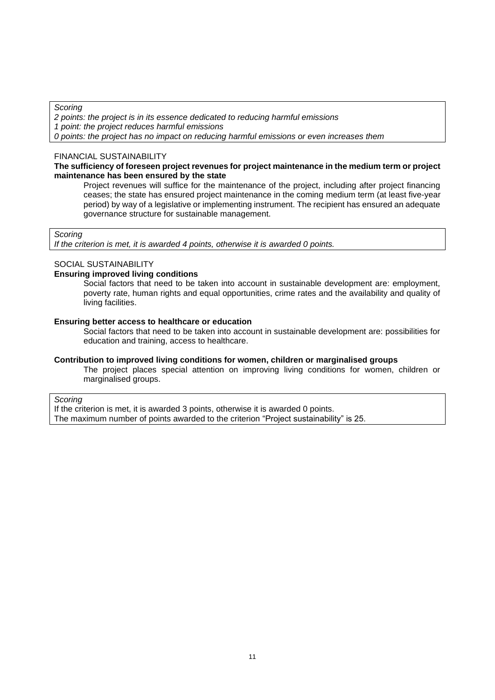*Scoring*

*2 points: the project is in its essence dedicated to reducing harmful emissions*

*1 point: the project reduces harmful emissions* 

*0 points: the project has no impact on reducing harmful emissions or even increases them*

## FINANCIAL SUSTAINABILITY

### **The sufficiency of foreseen project revenues for project maintenance in the medium term or project maintenance has been ensured by the state**

Project revenues will suffice for the maintenance of the project, including after project financing ceases; the state has ensured project maintenance in the coming medium term (at least five-year period) by way of a legislative or implementing instrument. The recipient has ensured an adequate governance structure for sustainable management.

## *Scoring*

*If the criterion is met, it is awarded 4 points, otherwise it is awarded 0 points.*

# SOCIAL SUSTAINABILITY

## **Ensuring improved living conditions**

Social factors that need to be taken into account in sustainable development are: employment, poverty rate, human rights and equal opportunities, crime rates and the availability and quality of living facilities.

### **Ensuring better access to healthcare or education**

Social factors that need to be taken into account in sustainable development are: possibilities for education and training, access to healthcare.

## **Contribution to improved living conditions for women, children or marginalised groups**

The project places special attention on improving living conditions for women, children or marginalised groups.

### *Scoring*

If the criterion is met, it is awarded 3 points, otherwise it is awarded 0 points. The maximum number of points awarded to the criterion "Project sustainability" is 25.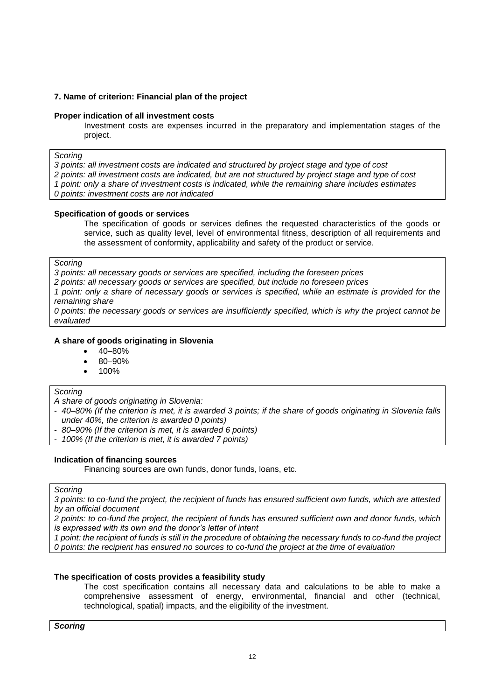# **7. Name of criterion: Financial plan of the project**

## **Proper indication of all investment costs**

Investment costs are expenses incurred in the preparatory and implementation stages of the project.

#### *Scoring*

*3 points: all investment costs are indicated and structured by project stage and type of cost*

*2 points: all investment costs are indicated, but are not structured by project stage and type of cost*

*1 point: only a share of investment costs is indicated, while the remaining share includes estimates*

*0 points: investment costs are not indicated*

# **Specification of goods or services**

The specification of goods or services defines the requested characteristics of the goods or service, such as quality level, level of environmental fitness, description of all requirements and the assessment of conformity, applicability and safety of the product or service.

*Scoring*

*3 points: all necessary goods or services are specified, including the foreseen prices*

*2 points: all necessary goods or services are specified, but include no foreseen prices*

*1 point: only a share of necessary goods or services is specified, while an estimate is provided for the remaining share*

*0 points: the necessary goods or services are insufficiently specified, which is why the project cannot be evaluated* 

# **A share of goods originating in Slovenia**

- 40–80%
- 80–90%
- 100%

### *Scoring*

*A share of goods originating in Slovenia:*

- *40–80% (If the criterion is met, it is awarded 3 points; if the share of goods originating in Slovenia falls under 40%, the criterion is awarded 0 points)*
- *80–90% (If the criterion is met, it is awarded 6 points)*
- *100% (If the criterion is met, it is awarded 7 points)*

# **Indication of financing sources**

Financing sources are own funds, donor funds, loans, etc.

### *Scoring*

*3 points: to co-fund the project, the recipient of funds has ensured sufficient own funds, which are attested by an official document*

*2 points: to co-fund the project, the recipient of funds has ensured sufficient own and donor funds, which is expressed with its own and the donor's letter of intent*

*1 point: the recipient of funds is still in the procedure of obtaining the necessary funds to co-fund the project 0 points: the recipient has ensured no sources to co-fund the project at the time of evaluation*

# **The specification of costs provides a feasibility study**

The cost specification contains all necessary data and calculations to be able to make a comprehensive assessment of energy, environmental, financial and other (technical, technological, spatial) impacts, and the eligibility of the investment.